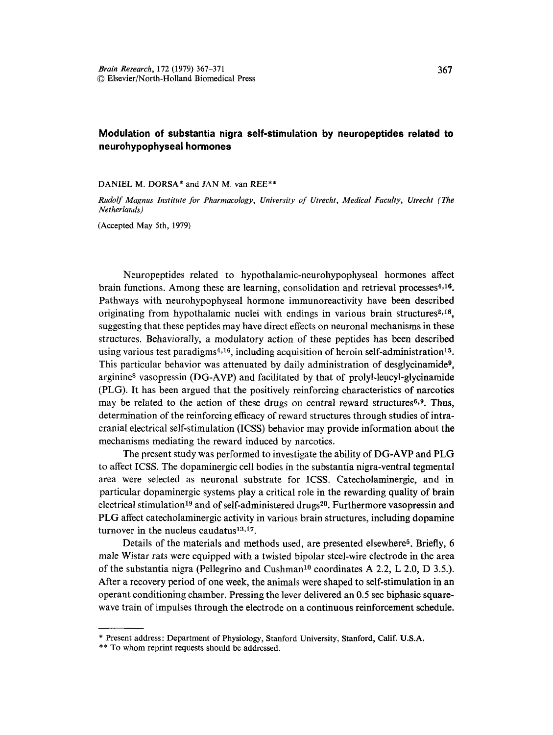## **Modulation of substantia nigra self-stimulation by neuropeptides related to neurohypophyseal hormones**

DANIEL **M. DORSA\*** and JAN M. van **REE\*\*** 

*Rudolf Magnus Institute for Pharmacology, University of Utrecht, Medical Faculty, Utrecht (The Netherlands)* 

(Accepted May 5th, 1979)

Neuropeptides related to hypothalamic-neurohypophyseal hormones affect brain functions. Among these are learning, consolidation and retrieval processes $4,16$ . Pathways with neurohypophyseal hormone immunoreactivity have been described originating from hypothalamic nuclei with endings in various brain structures<sup>2,18</sup>, suggesting that these peptides may have direct effects on neuronal mechanisms in these structures. Behaviorally, a modulatory action of these peptides has been described using various test paradigms<sup>4,16</sup>, including acquisition of heroin self-administration<sup>15</sup>. This particular behavior was attenuated by daily administration of desglycinamide<sup>9</sup>, arginine<sup>8</sup> vasopressin ( $DG-AVP$ ) and facilitated by that of prolyl-leucyl-glycinamide (PLG). It has been argued that the positively reinforcing characteristics of narcotics may be related to the action of these drugs on central reward structures<sup>6,9</sup>. Thus, determination of the reinforcing efficacy of reward structures through studies of intracranial electrical self-stimulation (ICSS) behavior may provide information about **the**  mechanisms mediating the reward induced by narcotics.

The present study was performed to investigate the ability of DG-AVP and PLG to affect ICSS. The dopaminergic cell bodies in the substantia nigra-ventral tegmental area were selected as neuronal substrate for ICSS. Catecholaminergic, and in particular dopaminergic systems play a critical role in the rewarding quality of **brain**  electrical stimulation<sup>19</sup> and of self-administered drugs<sup>20</sup>. Furthermore vasopressin and PLG affect catecholaminergic activity in various brain structures, including dopamine turnover in the nucleus caudatus<sup>13,17</sup>.

Details of the materials and methods used, are presented elsewhere<sup>5</sup>. Briefly, 6 male Wistar rats were equipped with a twisted bipolar steel-wire electrode in the area of the substantia nigra (Pellegrino and Cushman<sup>10</sup> coordinates A 2.2, L 2.0, D 3.5.). After a recovery period of one week, the animals were shaped to self-stimulation in **an**  operant conditioning chamber. Pressing the lever delivered an 0.5 sec biphasic squarewave train of impulses through the electrode on a continuous reinforcement schedule.

<sup>\*</sup> Present address: Department of Physiology, Stanford University, Stanford, Calif. U.S.A.

<sup>\*\*</sup> To whom reprint requests should be addressed.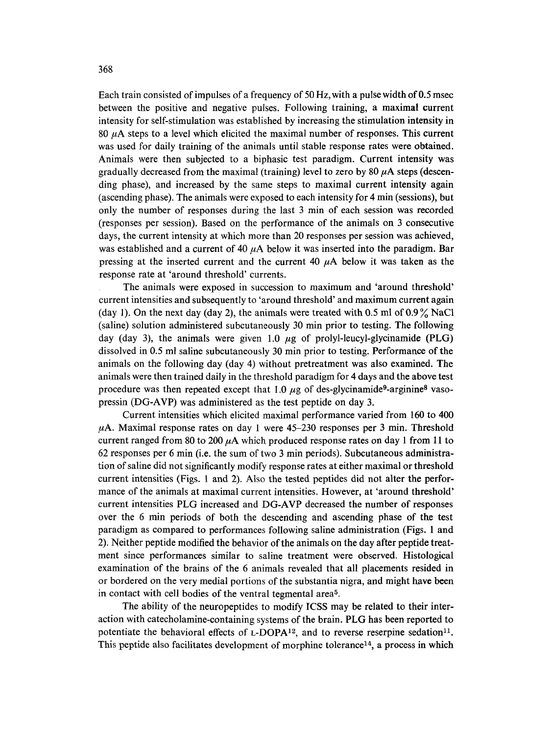Each train consisted of impulses of a frequency of 50 Hz, with a pulse width of 0.5 msec between the positive and negative pulses. Following training, a maximal current intensity for self-stimulation was established by increasing the stimulation intensity in 80  $\mu$ A steps to a level which elicited the maximal number of responses. This current was used for daily training of the animals until stable response rates were obtained. Animals were then subjected to a biphasic test paradigm. Current intensity was gradually decreased from the maximal (training) level to zero by 80  $\mu$ A steps (descending phase), and increased by the same steps to maximal current intensity again (ascending phase). The animals were exposed to each intensity for 4 min (sessions), but only the number of responses during the last 3 min of each session was recorded (responses per session). Based on the performance of the animals on 3 consecutive days, the current intensity at which more than 20 responses per session was achieved, was established and a current of 40  $\mu$ A below it was inserted into the paradigm. Bar pressing at the inserted current and the current 40  $\mu$ A below it was taken as the response rate at 'around threshold' currents.

The animals were exposed in succession to maximum and 'around threshold' current intensities and subsequently to 'around threshold' and maximum current again (day 1). On the next day (day 2), the animals were treated with 0.5 ml of  $0.9\%$  NaCl (saline) solution administered subcutaneously 30 min prior to testing. The following day (day 3), the animals were given 1.0  $\mu$ g of prolyl-leucyl-glycinamide (PLG) dissolved in 0.5 ml saline subcutaneously 30 min prior to testing. Performance of the animals on the following day (day 4) without pretreatment was also examined. The animals were then trained daily in the threshold paradigm for 4 days and the above test procedure was then repeated except that 1.0  $\mu$ g of des-glycinamide<sup>9</sup>-arginine<sup>8</sup> vasopressin (DG-AVP) was administered as the test peptide on day 3.

Current intensities which elicited maximal performance varied from 160 to 400  $\mu$ A. Maximal response rates on day 1 were 45-230 responses per 3 min. Threshold current ranged from 80 to 200  $\mu$ A which produced response rates on day 1 from 11 to 62 responses per 6 min (i.e. the sum of two 3 min periods). Subcutaneous administration of saline did not significantly modify response rates at either maximal or threshold current intensities (Figs. 1 and 2). Also the tested peptides did not alter the performance of the animals at maximal current intensities. However, at 'around threshold' current intensities PLG increased and DG-AVP decreased the number of responses over the 6 min periods of both the descending and ascending phase of the test paradigm as compared to performances following saline administration (Figs. 1 and 2). Neither peptide modified the behavior of the animals on the day after peptide treatment since performances similar to saline treatment were observed. Histological examination of the brains of the 6 animals revealed that all placements resided in or bordered on the very medial portions of the substantia nigra, and might have been in contact with cell bodies of the ventral tegmental area<sup>5</sup>.

The ability of the neuropeptides to modify ICSS may be related to their interaction with catecholamine-containing systems of the brain. PLG has been reported to potentiate the behavioral effects of  $L$ -DOPA<sup>12</sup>, and to reverse reserpine sedation<sup>11</sup>. This peptide also facilitates development of morphine tolerance<sup>14</sup>, a process in which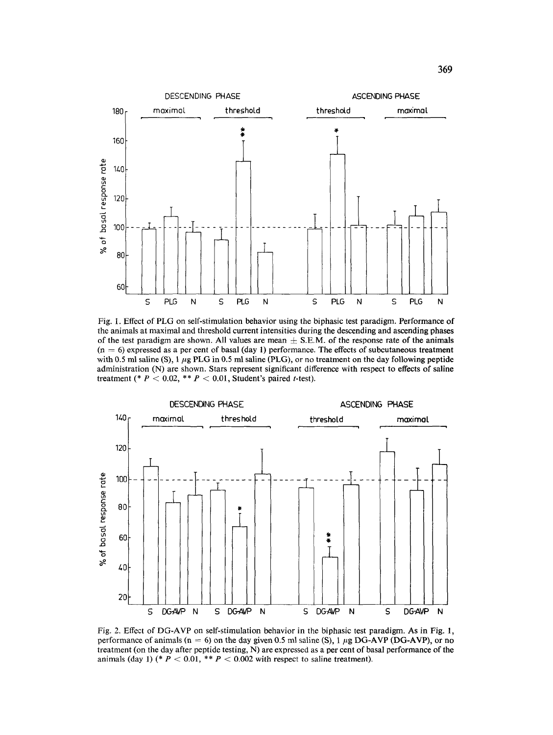

Fig. 1. Effect of PLG on self-stimulation behavior using the biphasic test paradigm. Performance of the animals at maximal and threshold current intensities during the descending and ascending phases of the test paradigm are shown. All values are mean  $\pm$  S.E.M. of the response rate of the animals  $(n = 6)$  expressed as a per cent of basal (day 1) performance. The effects of subcutaneous treatment with 0.5 ml saline (S), 1  $\mu$ g PLG in 0.5 ml saline (PLG), or no treatment on the day following peptide administration (N) are shown. Stars represent significant difference with respect to effects of saline treatment (\*  $P < 0.02$ , \*\*  $P < 0.01$ , Student's paired t-test).



Fig. 2. Effect of DG-AVP on self-stimulation behavior in the biphasic test paradigm. As in Fig. 1, performance of animals ( $n = 6$ ) on the day given 0.5 ml saline (S), 1  $\mu$ g DG-AVP (DG-AVP), or no treatment (on the day after peptide testing, N) are expressed as a per cent of basal performance of the animals (day 1) (\*  $P < 0.01$ , \*\*  $P < 0.002$  with respect to saline treatment).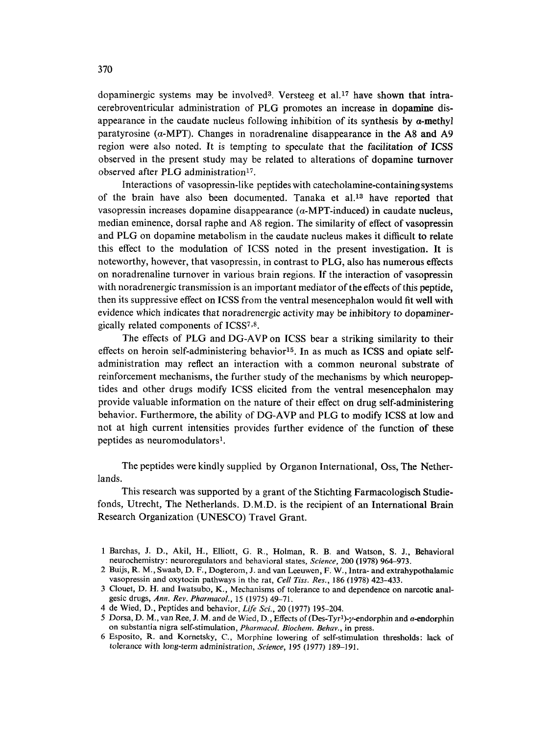dopaminergic systems may be involved<sup>3</sup>. Versteeg et al.<sup>17</sup> have shown that intracerebroventricular administration of PLG promotes an increase in dopamine disappearance in the caudate nucleus following inhibition of its synthesis by  $\alpha$ -methyl paratyrosine ( $\alpha$ -MPT). Changes in noradrenaline disappearance in the A8 and A9 region were also noted. It is tempting to speculate that the facilitation of ICSS observed in the present study may be related to alterations of dopamine turnover observed after PLG administration<sup>17</sup>.

Interactions of vasopressin-like peptides with catecholamine-containing systems of the brain have also been documented. Tanaka et al.<sup>13</sup> have reported that vasopressin increases dopamine disappearance  $(a-MPT-induced)$  in caudate nucleus. median eminence, dorsal raphe and A8 region. The similarity of effect of vasopressin and PLG on dopamine metabolism in the caudate nucleus makes it difficult to relate this effect to the modulation of ICSS noted in the present investigation. It is noteworthy, however, that vasopressin, in contrast to PLG, also has numerous effects on noradrenaline turnover in various brain regions. If the interaction of vasopressin with noradrenergic transmission is an important mediator of the effects of this peptide, then its suppressive effect on ICSS from the ventral mesencephalon would fit well with evidence which indicates that noradrenergic activity may be inhibitory to dopaminergically related components of ICSS<sup>7,8</sup>.

The effects of PLG and DG-AVP on ICSS bear a striking similarity to their effects on heroin self-administering behavior<sup>15</sup>. In as much as ICSS and opiate selfadministration may reflect an interaction with a common neuronal substrate of reinforcement mechanisms, the further study of the mechanisms by which neuropeptides and other drugs modify ICSS elicited from the ventral mesencephalon may provide valuable information on the nature of their effect on drug self-administering behavior. Furthermore, the ability of DG-AVP and PLG to modify ICSS at low and not at high current intensities provides further evidence of the function of these peptides as neuromodulators<sup>1</sup>.

The peptides were kindly supplied by Organon International, Oss, The Netherlands.

This research was supported by a grant of the Stichting Farmacologisch Studiefonds, Utrecht, The Netherlands. D.M.D. is the recipient of an International Brain Research Organization (UNESCO) Travel Grant.

<sup>1</sup> Barchas, J. D., Akil, H., Elliott, G. R., Holman, R. B. and Watson, S. J., Behavioral neurochemistry: neuroregulators and behavioral states, *Science,* 200 (1978) 964-973.

<sup>2</sup> Buijs, R. M., Swaab, D. F., Dogterom, J. and van Leeuwen, F. W., Intra- and extrahypothalamic vasopressin and oxytocin pathways in the rat, *Cell Tiss. Res.,* 186 (1978) 423-433.

<sup>3</sup> Clouet, D. H. and Iwatsubo, K., Mechanisms of tolerance to and dependence on narcotic analgesic drugs, *Ann. Rev. PharmacoL,* 15 (1975) 49-71.

<sup>4</sup> de Wied, D., Peptides and behavior, *Life Sci.,* 20 (1977) 195-204.

<sup>5</sup> Dorsa, D. M., van Ree, J. M. and de Wied, D., Effects of (Des-Tyr<sup>1</sup>)- $\gamma$ -endorphin and a-endorphin on substantia nigra self-stimulation, *PharmacoL Biochem. Behav.,* in press.

<sup>6</sup> Esposito, R. and Kornetsky, C., Morphine lowering of self-stimulation thresholds: lack of *tolerance* with *long-term administration, Science,* 195 (1977) 189-191.